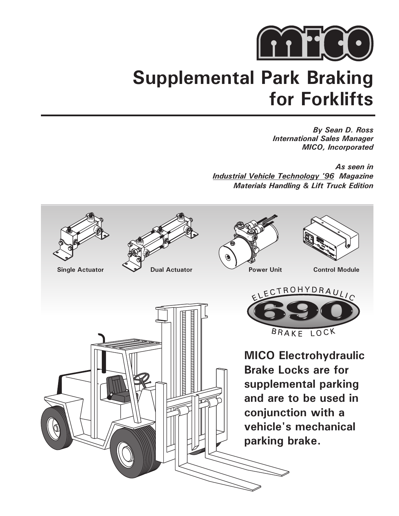

## **Supplemental Park Braking for Forklifts**

*By Sean D. Ross International Sales Manager MICO, Incorporated*

*As seen in Magazine Industrial Vehicle Technology '96 Materials Handling & Lift Truck Edition*

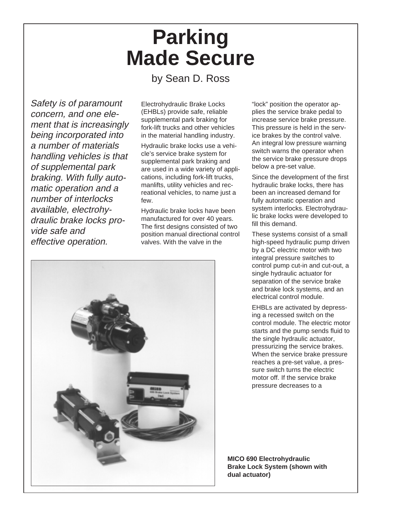# **Parking Made Secure**

### by Sean D. Ross

Safety is of paramount concern, and one element that is increasingly being incorporated into a number of materials handling vehicles is that of supplemental park braking. With fully automatic operation and a number of interlocks available, electrohydraulic brake locks provide safe and effective operation.

Electrohydraulic Brake Locks (EHBLs) provide safe, reliable supplemental park braking for fork-lift trucks and other vehicles in the material handling industry.

Hydraulic brake locks use a vehicle's service brake system for supplemental park braking and are used in a wide variety of applications, including fork-lift trucks, manlifts, utility vehicles and recreational vehicles, to name just a few.

Hydraulic brake locks have been manufactured for over 40 years. The first designs consisted of two position manual directional control valves. With the valve in the



"lock" position the operator applies the service brake pedal to increase service brake pressure. This pressure is held in the service brakes by the control valve. An integral low pressure warning switch warns the operator when the service brake pressure drops below a pre-set value.

Since the development of the first hydraulic brake locks, there has been an increased demand for fully automatic operation and system interlocks. Electrohydraulic brake locks were developed to fill this demand.

These systems consist of a small high-speed hydraulic pump driven by a DC electric motor with two integral pressure switches to control pump cut-in and cut-out, a single hydraulic actuator for separation of the service brake and brake lock systems, and an electrical control module.

EHBLs are activated by depressing a recessed switch on the control module. The electric motor starts and the pump sends fluid to the single hydraulic actuator, pressurizing the service brakes. When the service brake pressure reaches a pre-set value, a pressure switch turns the electric motor off. If the service brake pressure decreases to a

**MICO 690 Electrohydraulic Brake Lock System (shown with dual actuator)**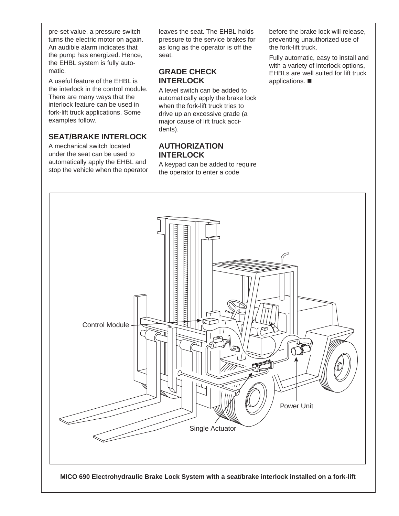pre-set value, a pressure switch turns the electric motor on again. An audible alarm indicates that the pump has energized. Hence, the EHBL system is fully automatic.

A useful feature of the EHBL is the interlock in the control module. There are many ways that the interlock feature can be used in fork-lift truck applications. Some examples follow.

### **SEAT/BRAKE INTERLOCK**

A mechanical switch located under the seat can be used to automatically apply the EHBL and stop the vehicle when the operator leaves the seat. The EHBL holds pressure to the service brakes for as long as the operator is off the seat.

#### **GRADE CHECK INTERLOCK**

A level switch can be added to automatically apply the brake lock when the fork-lift truck tries to drive up an excessive grade (a major cause of lift truck accidents).

#### **AUTHORIZATION INTERLOCK**

A keypad can be added to require the operator to enter a code

before the brake lock will release, preventing unauthorized use of the fork-lift truck.

Fully automatic, easy to install and with a variety of interlock options, EHBLs are well suited for lift truck applications.